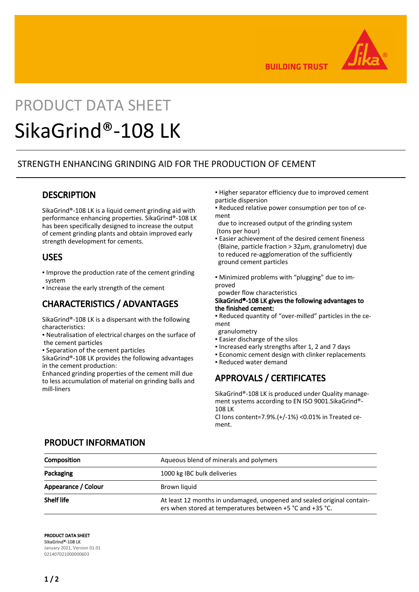

**BUILDING TRUST** 

# PRODUCT DATA SHEET SikaGrind®-108 LK

#### STRENGTH ENHANCING GRINDING AID FOR THE PRODUCTION OF CEMENT

#### **DESCRIPTION**

SikaGrind®-108 LK is a liquid cement grinding aid with performance enhancing properties. SikaGrind®-108 LK has been specifically designed to increase the output of cement grinding plants and obtain improved early strength development for cements.

#### USES

- Improve the production rate of the cement grinding system
- Increase the early strength of the cement

# CHARACTERISTICS / ADVANTAGES

SikaGrind®-108 LK is a dispersant with the following characteristics:

- Neutralisation of electrical charges on the surface of the cement particles
- Separation of the cement particles

SikaGrind®-108 LK provides the following advantages in the cement production:

Enhanced grinding properties of the cement mill due to less accumulation of material on grinding balls and mill-liners

- Higher separator efficiency due to improved cement particle dispersion
- Reduced relative power consumption per ton of cement
- due to increased output of the grinding system (tons per hour)
- **Easier achievement of the desired cement fineness**  (Blaine, particle fraction > 32μm, granulometry) due to reduced re-agglomeration of the sufficiently ground cement particles
- Minimized problems with "plugging" due to improved
- powder flow characteristics

#### SikaGrind®-108 LK gives the following advantages to the finished cement:

- Reduced quantity of "over-milled" particles in the cement
- granulometry
- **Easier discharge of the silos**
- Increased early strengths after 1, 2 and 7 days
- Economic cement design with clinker replacements
- Reduced water demand

# APPROVALS / CERTIFICATES

SikaGrind®-108 LK is produced under Quality management systems according to EN ISO 9001.SikaGrind®- 108 LK

Cl Ions content=7.9%.(+/-1%) <0.01% in Treated cement.

## PRODUCT INFORMATION

| Composition         | Aqueous blend of minerals and polymers                                                                                              |
|---------------------|-------------------------------------------------------------------------------------------------------------------------------------|
| Packaging           | 1000 kg IBC bulk deliveries                                                                                                         |
| Appearance / Colour | Brown liquid                                                                                                                        |
| <b>Shelf life</b>   | At least 12 months in undamaged, unopened and sealed original contain-<br>ers when stored at temperatures between +5 °C and +35 °C. |

PRODUCT DATA SHEET SikaGrind®-108 LK January 2021, Version 01.01 021407021000000603